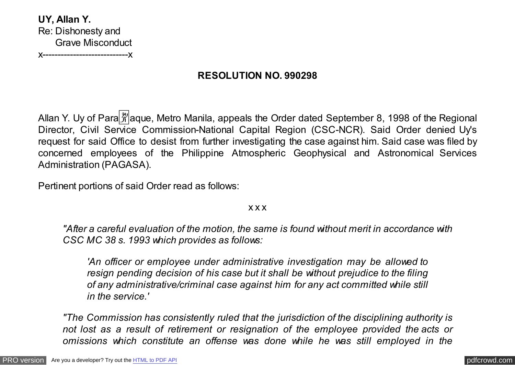**UY, Allan Y.** Re: Dishonesty and Grave Misconduct x----------------------------x

# **RESOLUTION NO. 990298**

Allan Y. Uy of Para  $\frac{29}{21}$  aque, Metro Manila, appeals the Order dated September 8, 1998 of the Regional Director, Civil Service Commission-National Capital Region (CSC-NCR). Said Order denied Uy's request for said Office to desist from further investigating the case against him. Said case was filed by concerned employees of the Philippine Atmospheric Geophysical and Astronomical Services Administration (PAGASA).

Pertinent portions of said Order read as follows:

## x x x

*"After a careful evaluation of the motion, the same is found without merit in accordance with CSC MC 38 s. 1993 which provides as follows:*

*'An officer or employee under administrative investigation may be allowed to resign pending decision of his case but it shall be without prejudice to the filing of any administrative/criminal case against him for any act committed while still in the service.'*

*"The Commission has consistently ruled that the jurisdiction of the disciplining authority is not lost as a result of retirement or resignation of the employee provided the acts or omissions which constitute an offense was done while he was still employed in the*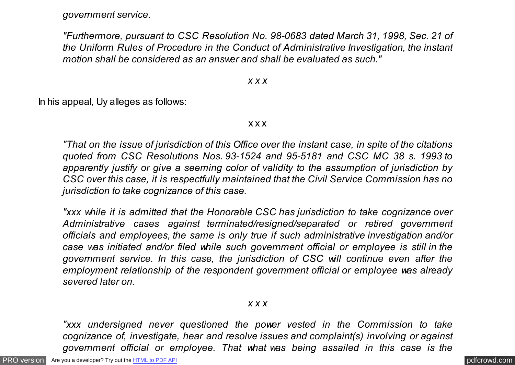*government service.*

*"Furthermore, pursuant to CSC Resolution No. 98-0683 dated March 31, 1998, Sec. 21 of the Uniform Rules of Procedure in the Conduct of Administrative Investigation, the instant motion shall be considered as an answer and shall be evaluated as such."*

*x x x*

In his appeal, Uy alleges as follows:

x x x

*"That on the issue of jurisdiction of this Office over the instant case, in spite of the citations quoted from CSC Resolutions Nos. 93-1524 and 95-5181 and CSC MC 38 s. 1993 to apparently justify or give a seeming color of validity to the assumption of jurisdiction by CSC over this case, it is respectfully maintained that the Civil Service Commission has no jurisdiction to take cognizance of this case.*

*"xxx while it is admitted that the Honorable CSC has jurisdiction to take cognizance over Administrative cases against terminated/resigned/separated or retired government officials and employees, the same is only true if such administrative investigation and/or case was initiated and/or filed while such government official or employee is still in the government service. In this case, the jurisdiction of CSC will continue even after the employment relationship of the respondent government official or employee was already severed later on.*

*x x x*

*"xxx undersigned never questioned the power vested in the Commission to take cognizance of, investigate, hear and resolve issues and complaint(s) involving or against government official or employee. That what was being assailed in this case is the*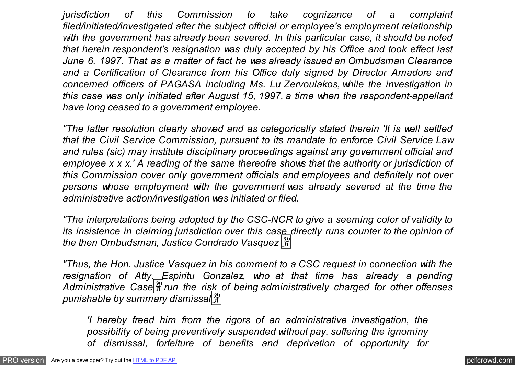*jurisdiction of this Commission to take cognizance of a complaint filed/initiated/investigated after the subject official or employee's employment relationship with the government has already been severed. In this particular case, it should be noted that herein respondent's resignation was duly accepted by his Office and took effect last June 6, 1997. That as a matter of fact he was already issued an Ombudsman Clearance and a Certification of Clearance from his Office duly signed by Director Amadore and concerned officers of PAGASA including Ms. Lu Zervoulakos, while the investigation in this case was only initiated after August 15, 1997, a time when the respondent-appellant have long ceased to a government employee.*

*"The latter resolution clearly showed and as categorically stated therein 'It is well settled that the Civil Service Commission, pursuant to its mandate to enforce Civil Service Law and rules (sic) may institute disciplinary proceedings against any government official and employee x x x.' A reading of the same thereofre shows that the authority or jurisdiction of this Commission cover only government officials and employees and definitely not over persons whose employment with the government was already severed at the time the administrative action/investigation was initiated or filed.*

*"The interpretations being adopted by the CSC-NCR to give a seeming color of validity to its insistence in claiming jurisdiction over this case directly runs counter to the opinion of the then Ombudsman, Justice Condrado Vasquez* �

*"Thus, the Hon. Justice Vasquez in his comment to a CSC request in connection with the resignation of Atty. Espiritu Gonzalez, who at that time has already a pending* Administrative Case  $\frac{2y}{N}$  run the risk of being administratively charged for other offenses *punishable by summary dismissal*�

*'I hereby freed him from the rigors of an administrative investigation, the possibility of being preventively suspended without pay, suffering the ignominy of dismissal, forfeiture of benefits and deprivation of opportunity for*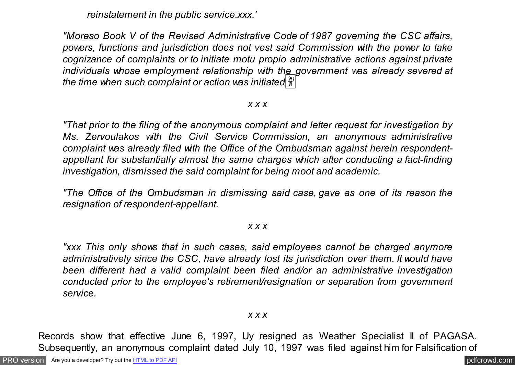*reinstatement in the public service.xxx.'*

*"Moreso Book V of the Revised Administrative Code of 1987 governing the CSC affairs, powers, functions and jurisdiction does not vest said Commission with the power to take cognizance of complaints or to initiate motu propio administrative actions against private individuals whose employment relationship with the government was already severed at the time when such complaint or action was initiated*�

#### *x x x*

*"That prior to the filing of the anonymous complaint and letter request for investigation by Ms. Zervoulakos with the Civil Service Commission, an anonymous administrative complaint was already filed with the Office of the Ombudsman against herein respondentappellant for substantially almost the same charges which after conducting a fact-finding investigation, dismissed the said complaint for being moot and academic.*

*"The Office of the Ombudsman in dismissing said case, gave as one of its reason the resignation of respondent-appellant.*

#### *x x x*

*"xxx This only shows that in such cases, said employees cannot be charged anymore administratively since the CSC, have already lost its jurisdiction over them. It would have been different had a valid complaint been filed and/or an administrative investigation conducted prior to the employee's retirement/resignation or separation from government service.*

## *x x x*

Records show that effective June 6, 1997, Uy resigned as Weather Specialist II of PAGASA. Subsequently, an anonymous complaint dated July 10, 1997 was filed against him for Falsification of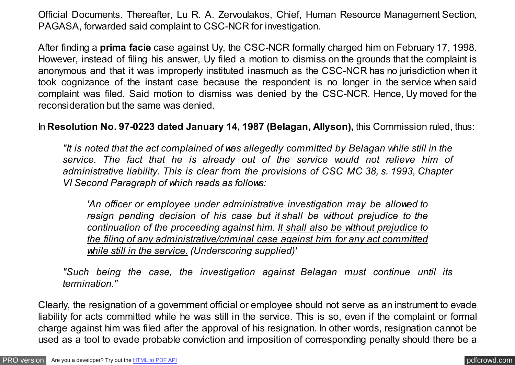Official Documents. Thereafter, Lu R. A. Zervoulakos, Chief, Human Resource Management Section, PAGASA, forwarded said complaint to CSC-NCR for investigation.

After finding a **prima facie** case against Uy, the CSC-NCR formally charged him on February 17, 1998. However, instead of filing his answer, Uy filed a motion to dismiss on the grounds that the complaint is anonymous and that it was improperly instituted inasmuch as the CSC-NCR has no jurisdiction when it took cognizance of the instant case because the respondent is no longer in the service when said complaint was filed. Said motion to dismiss was denied by the CSC-NCR. Hence, Uy moved for the reconsideration but the same was denied.

In **Resolution No. 97-0223 dated January 14, 1987 (Belagan, Allyson),** this Commission ruled, thus:

*"It is noted that the act complained of was allegedly committed by Belagan while still in the service. The fact that he is already out of the service would not relieve him of administrative liability. This is clear from the provisions of CSC MC 38, s. 1993, Chapter VI Second Paragraph of which reads as follows:*

*'An officer or employee under administrative investigation may be allowed to resign pending decision of his case but it shall be without prejudice to the continuation of the proceeding against him. It shall also be without prejudice to the filing of any administrative/criminal case against him for any act committed while still in the service. (Underscoring supplied)'*

*"Such being the case, the investigation against Belagan must continue until its termination."*

Clearly, the resignation of a government official or employee should not serve as an instrument to evade liability for acts committed while he was still in the service. This is so, even if the complaint or formal charge against him was filed after the approval of his resignation. In other words, resignation cannot be used as a tool to evade probable conviction and imposition of corresponding penalty should there be a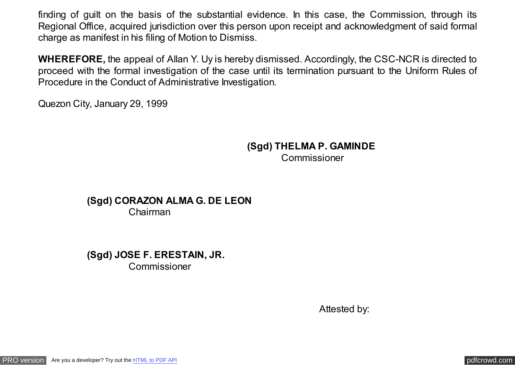finding of guilt on the basis of the substantial evidence. In this case, the Commission, through its Regional Office, acquired jurisdiction over this person upon receipt and acknowledgment of said formal charge as manifest in his filing of Motion to Dismiss.

**WHEREFORE,** the appeal of Allan Y. Uy is hereby dismissed. Accordingly, the CSC-NCR is directed to proceed with the formal investigation of the case until its termination pursuant to the Uniform Rules of Procedure in the Conduct of Administrative Investigation.

Quezon City, January 29, 1999

 **(Sgd) THELMA P. GAMINDE** Commissioner

**(Sgd) CORAZON ALMA G. DE LEON**  Chairman

**(Sgd) JOSE F. ERESTAIN, JR. Commissioner** 

Attested by:

[PRO version](http://pdfcrowd.com/customize/) Are you a developer? Try out th[e HTML to PDF API](http://pdfcrowd.com/html-to-pdf-api/?ref=pdf) provided and the example of the HTML to PDF API posterior of the example of the example of the example of the example of the example of the example of the exampl